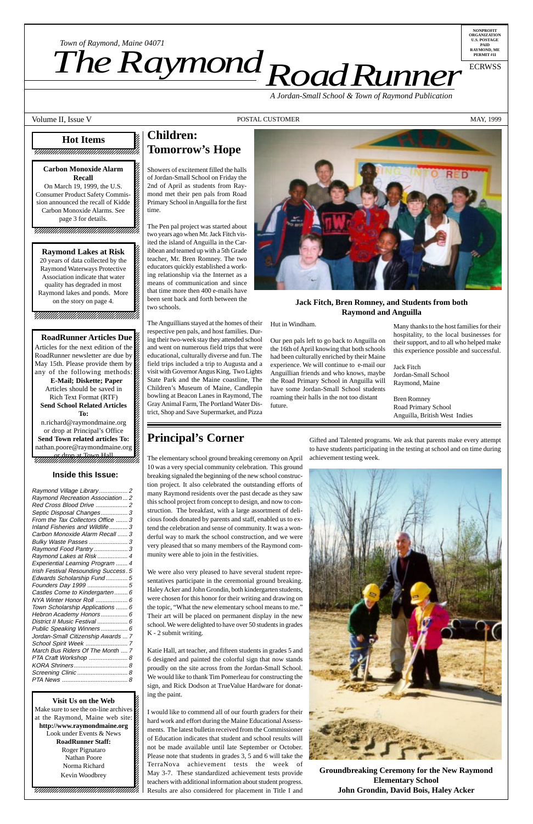12345678901234567890123456789012123456789012345 12345678901234567890123456789012123456789012345

**RoadRunner Articles Due** 12345678901234567890123456789012123456789012345 Articles for the next edition of the  $\mathscr{C}$ 12345678901234567890123456789012123456789012345 RoadRunner newsletter are due by  $\%$ 12345678901234567890123456789012123456789012345 May 15th. Please provide them by  $\%$ any of the following methods: **E-Mail; Diskette; Paper**  $15.5$  5  $15.5$  5  $15.5$  5  $15.5$  5  $15.5$  5  $15.5$  5  $15.5$  5  $15.5$  5  $15.5$  5  $15.5$  5  $15.5$  5  $15.5$  5  $15.5$  5  $15.5$  5  $15.5$  5  $15.5$  5  $15.5$  5  $15.5$  5  $15.5$  5  $15.5$  5  $15.5$  5  $15.5$  5  $15.5$  5  $15.5$  5  $15.5$ Articles should be saved in 12345678901234567890123456789012123456789012345 Rich Text Format (RTF) 12345678901234567890123456789012123456789012345 **Send School Related Articles** 12345678901234567890123456789012123456789012345 **12345678901234567890123456789012345678901234567890123456789012345678901234567890** 12345678901234567890123456789012123456789012345

n.richard@raymondmaine.org or drop at Principal's Office 12345678901234567890123456789012123456789012345 **Send Town related articles To:** nathan.poore@raymondmaine.org  $1$  5  $1$  5  $1$  5  $1$  5  $1$  5  $1$  5  $1$  5  $1$  5  $1$  5  $1$  5  $1$  5  $1$  5  $1$  5  $1$ 1234 581 592 593 594 595 596 597 598 597 598 597 598 59 or drop at Town Hall (1235)

*Road Runner Town of Raymond, Maine 04071*<br>**The Raymond, Department** 

12345678901234567890123456789012123456789012345 **Visit Us on the Web** 12345678901234567890123456789012123456789012345 Make sure to see the on-line archives  $\mathcal{Z}$ at the Raymond, Maine web site: http://www.raymondmaine.org Look under Events  $&$  News  $1235678901234567890123456789012345678901234567890123456789012345678901234567890123456789012345678901234567890123456789012345678901234567890123456789012345678901234567890123456789012345678901234567890123456789012345678901$ **RoadRunner Staff:** Roger Pignataro Nathan Poore 12345678901234567890123456789012123456789012345 Norma Richard 2 12345678901234567890123456789012123456789012345 Kevin Woodbrey  $1$  5  $-$  5  $-$  5  $-$  5  $-$  5  $-$  5  $-$  5  $-$  5  $-$  5  $-$  5  $-$  5  $-$  5  $-$  5  $-$  5  $-$  5  $-$  5  $-$  5  $-$  5  $-$  5  $-$  5  $-$  5  $-$  5  $-$  5  $-$  5  $-$  5  $-$  5  $-$  5  $-$  5  $-$  5  $-$  5  $-$  5  $-$  5  $-$  5  $-$  5  $-$  5  $-$  5  $-$  5  $1235678901234567890123456789012345678901234567890123456789012345678901234567890123456789012345678901234567890123456789012345678901234567890123456789012345678901234567890123456789012345678901234567890123456789012345678901$  $1235678901234567890123456789012345678901234567890123456789012345678901234567890123456789012345678901234567890123456789012345678901234567890123456789012345678901234567890123456789012345678901234567890123456789012345678901$ 12345678901234567890123456789012123456789012345 12345678901234567890123456789012123456789012345 12345678901234567890123456789012123456789012345

12345678901234567890123456789012345678901234567890123456789012345678901234567890123456789012345678901234567890

12345678901234567890123456789012345678901234578901234567890123456789012345678901234567890123456789012345678901 12345678901234567890123456789012123456789012345

#### **Carbon Monoxide Alarm** 12345678901234567890123456789012123456789012345 **12345678901234567890123456789012345678901234567890123456789012345678901234567890** 12345678901234567890123456789012123456789012345 On March 19, 1999, the U.S.  $\%$ 12345678901234567890123456789012123456789012345 Consumer Product Safety Commis-

**NONPROFIT ORGANIZATION U.S. POSTAGE PAID RAYMOND, ME PERMIT #11**

sion announced the recall of Kidde  $\mathbb{Z}$ Carbon Monoxide Alarms. See  $15.5$  5  $15.5$  5  $15.5$  5  $15.5$  5  $15.5$  5  $15.5$  5  $15.5$  5  $15.5$  5  $15.5$  5  $15.5$  5  $15.5$  5  $15.5$  5  $15.5$  5  $15.5$  5  $15.5$  5  $15.5$  5  $15.5$  5  $15.5$  5  $15.5$  5  $15.5$  5  $15.5$  5  $15.5$  5  $15.5$  5  $15.5$  5  $15.5$  $page 3$  for details. 12345678901234567890123456789012123456789012345

1 september 1988 – 1989 – 1989 – 1989 – 1989 – 1989 – 1989 – 1989 – 1989 – 1989 – 1989 – 1989 – 1989 – 1989 – 12345678901234567890123456789012123456789012345 12345678901234567890123456789012123456789012345

*Town of Raymond, Maine 04071*

ECRWSS

#### 12345678901234567890123456789012345678901234567890123456789012345678901234567890123456789012345678901234567890 **Hot Items** 12345678901234567890123456789012123456789012345 12345678901234567890123456789012123456789012345 7888818901234567890123456789012345678912123456787811

12345678901234567890123456789012345678901234567890123456789012345678901234567890123456789012345678901234567890 12345678901234567890123456789012123456789012345 *A Jordan-Small School & Town of Raymond Publication*

#### Volume II, Issue V and May, 1999 and May, 1999 and May, 1999 and May, 1999 and May, 1999 and May, 1999 and May

## **Children: Tomorrow's Hope**

Showers of excitement filled the halls of Jordan-Small School on Friday the 2nd of April as students from Raymond met their pen pals from Road Primary School in Anguilla for the first time.

The Pen pal project was started about two years ago when Mr. Jack Fitch visited the island of Anguilla in the Caribbean and teamed up with a 5th Grade teacher, Mr. Bren Romney. The two educators quickly established a working relationship via the Internet as a means of communication and since that time more then 400 e-mails have been sent back and forth between the two schools.

**Raymond Lakes at Risk** 12345678901234567890123456789012123456789012345 20 years of data collected by the  $\%$ 12345678901234567890123456789012123456789012345 Raymond Waterways Protective Association indicate that water 12345678901234567890123456789012123456789012345 quality has degraded in most  $\%$ Raymond lakes and ponds. More 12345678901234567890123456789012123456789012345 on the story on page 4.  $\otimes$ 12345678901234567890123456789012123456789012345

> The Anguillians stayed at the homes of their respective pen pals, and host families. During their two-week stay they attended school and went on numerous field trips that were educational, culturally diverse and fun. The field trips included a trip to Augusta and a visit with Governor Angus King, Two Lights State Park and the Maine coastline, The Children's Museum of Maine, Candlepin bowling at Beacon Lanes in Raymond, The Gray Animal Farm, The Portland Water District, Shop and Save Supermarket, and Pizza



#### Hut in Windham.

Our pen pals left to go back to Anguilla on the 16th of April knowing that both schools had been culturally enriched by their Maine experience. We will continue to e-mail our Anguillian friends and who knows, maybe the Road Primary School in Anguilla will have some Jordan-Small School students roaming their halls in the not too distant future.

| Raymond Recreation Association  2<br>Red Cross Blood Drive  2<br>Septic Disposal Changes 3<br>From the Tax Collectors Office  3<br>Inland Fisheries and Wildlife 3<br>Carbon Monoxide Alarm Recall  3<br>Bulky Waste Passes  3<br>Raymond Food Pantry  3<br>Raymond Lakes at Risk  4<br>Experiential Learning Program  4<br>Irish Festival Resounding Success. 5<br>Edwards Scholarship Fund 5<br>Founders Day 1999  5<br>Castles Come to Kindergarten 6<br>NYA Winter Honor Roll  6<br>Town Scholarship Applications  6<br>Hebron Academy Honors 6<br>District II Music Festival  6<br>Public Speaking Winners 6<br>Jordan-Small Citizenship Awards  7<br>March Bus Riders Of The Month  7<br>PTA Craft Workshop  8<br>KORA Shriners 8<br>Screening Clinic  8 | Raymond Village Library 2 |  |
|----------------------------------------------------------------------------------------------------------------------------------------------------------------------------------------------------------------------------------------------------------------------------------------------------------------------------------------------------------------------------------------------------------------------------------------------------------------------------------------------------------------------------------------------------------------------------------------------------------------------------------------------------------------------------------------------------------------------------------------------------------------|---------------------------|--|
|                                                                                                                                                                                                                                                                                                                                                                                                                                                                                                                                                                                                                                                                                                                                                                |                           |  |
|                                                                                                                                                                                                                                                                                                                                                                                                                                                                                                                                                                                                                                                                                                                                                                |                           |  |
|                                                                                                                                                                                                                                                                                                                                                                                                                                                                                                                                                                                                                                                                                                                                                                |                           |  |
|                                                                                                                                                                                                                                                                                                                                                                                                                                                                                                                                                                                                                                                                                                                                                                |                           |  |
|                                                                                                                                                                                                                                                                                                                                                                                                                                                                                                                                                                                                                                                                                                                                                                |                           |  |
|                                                                                                                                                                                                                                                                                                                                                                                                                                                                                                                                                                                                                                                                                                                                                                |                           |  |
|                                                                                                                                                                                                                                                                                                                                                                                                                                                                                                                                                                                                                                                                                                                                                                |                           |  |
|                                                                                                                                                                                                                                                                                                                                                                                                                                                                                                                                                                                                                                                                                                                                                                |                           |  |
|                                                                                                                                                                                                                                                                                                                                                                                                                                                                                                                                                                                                                                                                                                                                                                |                           |  |
|                                                                                                                                                                                                                                                                                                                                                                                                                                                                                                                                                                                                                                                                                                                                                                |                           |  |
|                                                                                                                                                                                                                                                                                                                                                                                                                                                                                                                                                                                                                                                                                                                                                                |                           |  |
|                                                                                                                                                                                                                                                                                                                                                                                                                                                                                                                                                                                                                                                                                                                                                                |                           |  |
|                                                                                                                                                                                                                                                                                                                                                                                                                                                                                                                                                                                                                                                                                                                                                                |                           |  |
|                                                                                                                                                                                                                                                                                                                                                                                                                                                                                                                                                                                                                                                                                                                                                                |                           |  |
|                                                                                                                                                                                                                                                                                                                                                                                                                                                                                                                                                                                                                                                                                                                                                                |                           |  |
|                                                                                                                                                                                                                                                                                                                                                                                                                                                                                                                                                                                                                                                                                                                                                                |                           |  |
|                                                                                                                                                                                                                                                                                                                                                                                                                                                                                                                                                                                                                                                                                                                                                                |                           |  |
|                                                                                                                                                                                                                                                                                                                                                                                                                                                                                                                                                                                                                                                                                                                                                                |                           |  |
|                                                                                                                                                                                                                                                                                                                                                                                                                                                                                                                                                                                                                                                                                                                                                                |                           |  |
|                                                                                                                                                                                                                                                                                                                                                                                                                                                                                                                                                                                                                                                                                                                                                                |                           |  |
|                                                                                                                                                                                                                                                                                                                                                                                                                                                                                                                                                                                                                                                                                                                                                                |                           |  |
|                                                                                                                                                                                                                                                                                                                                                                                                                                                                                                                                                                                                                                                                                                                                                                |                           |  |
|                                                                                                                                                                                                                                                                                                                                                                                                                                                                                                                                                                                                                                                                                                                                                                |                           |  |
|                                                                                                                                                                                                                                                                                                                                                                                                                                                                                                                                                                                                                                                                                                                                                                |                           |  |
|                                                                                                                                                                                                                                                                                                                                                                                                                                                                                                                                                                                                                                                                                                                                                                |                           |  |
|                                                                                                                                                                                                                                                                                                                                                                                                                                                                                                                                                                                                                                                                                                                                                                |                           |  |

Many thanks to the host families for their hospitality, to the local businesses for their support, and to all who helped make this experience possible and successful.

Jack Fitch Jordan-Small School Raymond, Maine

Bren Romney Road Primary School Anguilla, British West Indies

## **Principal's Corner**

The elementary school ground breaking ceremony on April 10 was a very special community celebration. This ground breaking signaled the beginning of the new school construction project. It also celebrated the outstanding efforts of many Raymond residents over the past decade as they saw this school project from concept to design, and now to construction. The breakfast, with a large assortment of delicious foods donated by parents and staff, enabled us to extend the celebration and sense of community. It was a wonderful way to mark the school construction, and we were very pleased that so many members of the Raymond community were able to join in the festivities.

We were also very pleased to have several student representatives participate in the ceremonial ground breaking. Haley Acker and John Grondin, both kindergarten students, were chosen for this honor for their writing and drawing on the topic, "What the new elementary school means to me. Their art will be placed on permanent display in the new school. We were delighted to have over 50 students in grades K - 2 submit writing.

Katie Hall, art teacher, and fifteen students in grades 5 and 6 designed and painted the colorful sign that now stands proudly on the site across from the Jordan-Small School. We would like to thank Tim Pomerleau for constructing the sign, and Rick Dodson at TrueValue Hardware for donating the paint.

I would like to commend all of our fourth graders for their hard work and effort during the Maine Educational Assessments. The latest bulletin received from the Commissioner of Education indicates that student and school results will not be made available until late September or October. Please note that students in grades 3, 5 and 6 will take the TerraNova achievement tests the week of May 3-7. These standardized achievement tests provide teachers with additional information about student progress. Results are also considered for placement in Title I and

**Groundbreaking Ceremony for the New Raymond Elementary School John Grondin, David Bois, Haley Acker**

#### **Jack Fitch, Bren Romney, and Students from both Raymond and Anguilla**

Gifted and Talented programs. We ask that parents make every attempt to have students participating in the testing at school and on time during achievement testing week.



12345678901234567890123456789012123456789012345 12345678901234567890123456789012123456789012345 12345678901234567890123456789012123456789012345 12345678901234567890123456789012123456789012345 12345678901234567890123456789012123456789012345

#### **Inside this Issue:**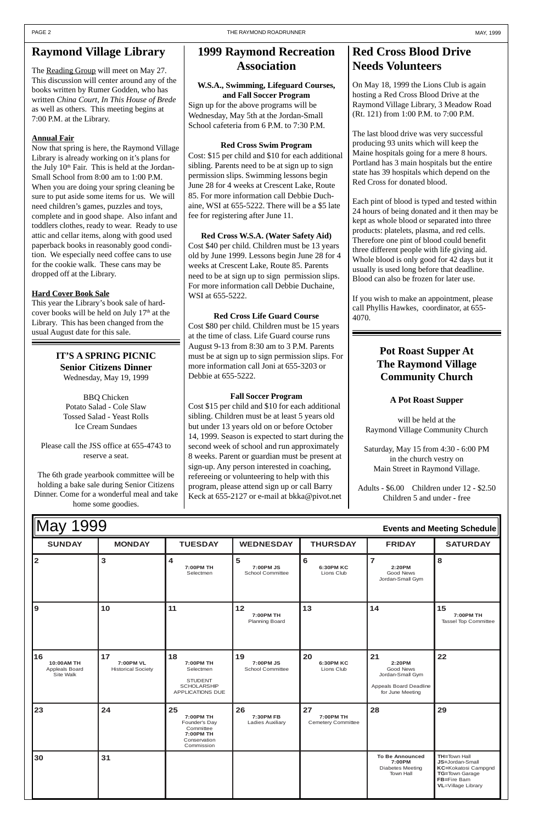| May<br>999<br>$\overline{\mathbf{A}}$<br><b>Events and Meeting Schedule</b> |               |                             |                                     |                         |                                         |                 |
|-----------------------------------------------------------------------------|---------------|-----------------------------|-------------------------------------|-------------------------|-----------------------------------------|-----------------|
| <b>SUNDAY</b>                                                               | <b>MONDAY</b> | <b>TUESDAY</b>              | <b>WEDNESDAY</b>                    | <b>THURSDAY</b>         | <b>FRIDAY</b>                           | <b>SATURDAY</b> |
| 2                                                                           |               | 4<br>7:00PM TH<br>Selectmen | ່ວ<br>7:00PM JS<br>School Committee | 6:30PM KC<br>Lions Club | 2:20PM<br>Good News<br>Jordan-Small Gym |                 |

| 9                                               | 10                                           | 11                                                                                       | 12<br>7:00PM TH<br><b>Planning Board</b>   | 13                                           | 14                                                                                          | 15<br>7:00PM TH<br>Tassel Top Committee |
|-------------------------------------------------|----------------------------------------------|------------------------------------------------------------------------------------------|--------------------------------------------|----------------------------------------------|---------------------------------------------------------------------------------------------|-----------------------------------------|
| 16<br>10:00AM TH<br>Appleals Board<br>Site Walk | 17<br>7:00PM VL<br><b>Historical Society</b> | 18<br>7:00PM TH<br>Selectmen<br><b>STUDENT</b><br><b>SCHOLARSHIP</b><br>APPLICATIONS DUE | 19<br>7:00 PM JS<br>School Committee       | 20<br><b>6:30PM KC</b><br>Lions Club         | 21<br>2:20PM<br>Good News<br>Jordan-Small Gym<br>Appeals Board Deadline<br>for June Meeting | 22                                      |
|                                                 |                                              |                                                                                          |                                            |                                              |                                                                                             |                                         |
| 23                                              | 24                                           | 25<br>7:00PM TH<br>Founder's Day<br>Committee<br>7:00PM TH<br>Conservation<br>Commission | 26<br>7:30PM FB<br><b>Ladies Auxiliary</b> | 27<br>7:00PM TH<br><b>Cemetery Committee</b> | 28                                                                                          | 29                                      |

# **Raymond Village Library**

The Reading Group will meet on May 27. This discussion will center around any of the books written by Rumer Godden, who has written *China Court*, *In This House of Brede* as well as others. This meeting begins at 7:00 P.M. at the Library.

### **Annual Fair**

Now that spring is here, the Raymond Village Library is already working on it's plans for the July 10<sup>th</sup> Fair. This is held at the Jordan-Small School from 8:00 am to 1:00 P.M. When you are doing your spring cleaning be sure to put aside some items for us. We will need children's games, puzzles and toys, complete and in good shape. Also infant and toddlers clothes, ready to wear. Ready to use attic and cellar items, along with good used paperback books in reasonably good condition. We especially need coffee cans to use for the cookie walk. These cans may be dropped off at the Library.

#### **Hard Cover Book Sale**

This year the Library's book sale of hardcover books will be held on July  $17<sup>th</sup>$  at the Library. This has been changed from the usual August date for this sale.

# **1999 Raymond Recreation Association**

### **W.S.A., Swimming, Lifeguard Courses, and Fall Soccer Program**

Sign up for the above programs will be Wednesday, May 5th at the Jordan-Small School cafeteria from 6 P.M. to 7:30 P.M.

#### **Red Cross Swim Program**

Cost: \$15 per child and \$10 for each additional sibling. Parents need to be at sign up to sign permission slips. Swimming lessons begin June 28 for 4 weeks at Crescent Lake, Route 85. For more information call Debbie Duchaine, WSI at 655-5222. There will be a \$5 late fee for registering after June 11.

**Red Cross W.S.A. (Water Safety Aid)** Cost \$40 per child. Children must be 13 years old by June 1999. Lessons begin June 28 for 4 weeks at Crescent Lake, Route 85. Parents need to be at sign up to sign permission slips. For more information call Debbie Duchaine, WSI at 655-5222.

**Red Cross Life Guard Course** Cost \$80 per child. Children must be 15 years at the time of class. Life Guard course runs August 9-13 from 8:30 am to 3 P.M. Parents must be at sign up to sign permission slips. For more information call Joni at 655-3203 or Debbie at 655-5222.

#### **Fall Soccer Program**

Cost \$15 per child and \$10 for each additional sibling. Children must be at least 5 years old but under 13 years old on or before October 14, 1999. Season is expected to start during the second week of school and run approximately 8 weeks. Parent or guardian must be present at sign-up. Any person interested in coaching, refereeing or volunteering to help with this program, please attend sign up or call Barry Keck at 655-2127 or e-mail at bkka@pivot.net

# **Red Cross Blood Drive Needs Volunteers**

On May 18, 1999 the Lions Club is again hosting a Red Cross Blood Drive at the Raymond Village Library, 3 Meadow Road (Rt. 121) from 1:00 P.M. to 7:00 P.M.

The last blood drive was very successful producing 93 units which will keep the Maine hospitals going for a mere 8 hours. Portland has 3 main hospitals but the entire state has 39 hospitals which depend on the Red Cross for donated blood.

Each pint of blood is typed and tested within 24 hours of being donated and it then may be kept as whole blood or separated into three products: platelets, plasma, and red cells. Therefore one pint of blood could benefit three different people with life giving aid. Whole blood is only good for 42 days but it usually is used long before that deadline. Blood can also be frozen for later use.

If you wish to make an appointment, please call Phyllis Hawkes, coordinator, at 655- 4070.

**IT'S A SPRING PICNIC Senior Citizens Dinner** Wednesday, May 19, 1999

BBQ Chicken Potato Salad - Cole Slaw Tossed Salad - Yeast Rolls Ice Cream Sundaes

Please call the JSS office at 655-4743 to reserve a seat.

The 6th grade yearbook committee will be holding a bake sale during Senior Citizens Dinner. Come for a wonderful meal and take home some goodies.

## **Pot Roast Supper At The Raymond Village Community Church**

#### **A Pot Roast Supper**

will be held at the Raymond Village Community Church

Saturday, May 15 from 4:30 - 6:00 PM in the church vestry on Main Street in Raymond Village.

Adults - \$6.00 Children under 12 - \$2.50 Children 5 and under - free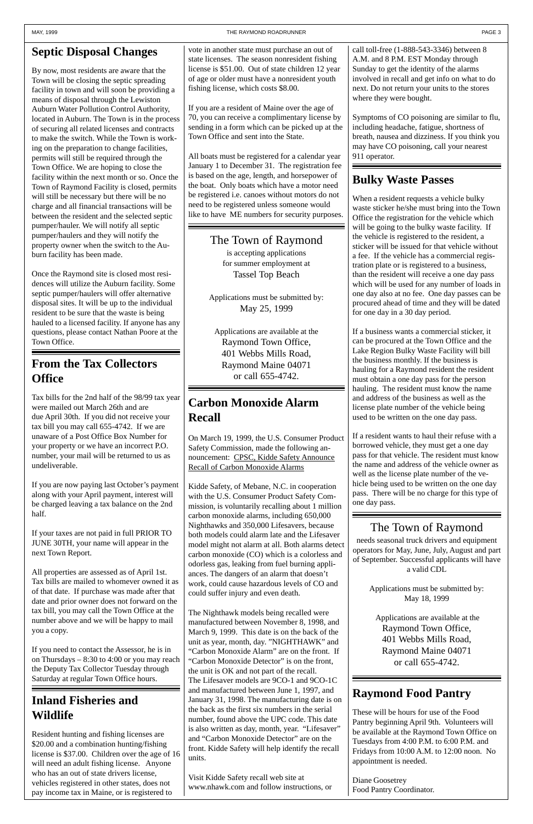#### MAY, 1999 **THE RAYMOND ROADRUNNER THE RAYMOND ROADRUNNER PAGE 3**

# **Septic Disposal Changes**

By now, most residents are aware that the Town will be closing the septic spreading facility in town and will soon be providing a means of disposal through the Lewiston Auburn Water Pollution Control Authority, located in Auburn. The Town is in the process of securing all related licenses and contracts to make the switch. While the Town is working on the preparation to change facilities, permits will still be required through the Town Office. We are hoping to close the facility within the next month or so. Once the Town of Raymond Facility is closed, permits will still be necessary but there will be no charge and all financial transactions will be between the resident and the selected septic pumper/hauler. We will notify all septic pumper/haulers and they will notify the property owner when the switch to the Auburn facility has been made.

Once the Raymond site is closed most residences will utilize the Auburn facility. Some septic pumper/haulers will offer alternative disposal sites. It will be up to the individual resident to be sure that the waste is being hauled to a licensed facility. If anyone has any questions, please contact Nathan Poore at the Town Office.

# **Inland Fisheries and Wildlife**

Resident hunting and fishing licenses are \$20.00 and a combination hunting/fishing license is \$37.00. Children over the age of 16 will need an adult fishing license. Anyone who has an out of state drivers license, vehicles registered in other states, does not pay income tax in Maine, or is registered to

# **Bulky Waste Passes**

When a resident requests a vehicle bulky waste sticker he/she must bring into the Town Office the registration for the vehicle which will be going to the bulky waste facility. If the vehicle is registered to the resident, a sticker will be issued for that vehicle without a fee. If the vehicle has a commercial registration plate or is registered to a business, than the resident will receive a one day pass which will be used for any number of loads in one day also at no fee. One day passes can be procured ahead of time and they will be dated for one day in a 30 day period.

If a business wants a commercial sticker, it can be procured at the Town Office and the Lake Region Bulky Waste Facility will bill the business monthly. If the business is hauling for a Raymond resident the resident must obtain a one day pass for the person hauling. The resident must know the name and address of the business as well as the license plate number of the vehicle being used to be written on the one day pass.

If a resident wants to haul their refuse with a borrowed vehicle, they must get a one day pass for that vehicle. The resident must know the name and address of the vehicle owner as well as the license plate number of the vehicle being used to be written on the one day pass. There will be no charge for this type of one day pass.

# **Carbon Monoxide Alarm Recall**

On March 19, 1999, the U.S. Consumer Product Safety Commission, made the following announcement: CPSC, Kidde Safety Announce Recall of Carbon Monoxide Alarms

Kidde Safety, of Mebane, N.C. in cooperation with the U.S. Consumer Product Safety Commission, is voluntarily recalling about 1 million carbon monoxide alarms, including 650,000 Nighthawks and 350,000 Lifesavers, because both models could alarm late and the Lifesaver model might not alarm at all. Both alarms detect carbon monoxide (CO) which is a colorless and odorless gas, leaking from fuel burning appliances. The dangers of an alarm that doesn't work, could cause hazardous levels of CO and could suffer injury and even death.

The Nighthawk models being recalled were manufactured between November 8, 1998, and March 9, 1999. This date is on the back of the unit as year, month, day. "NIGHTHAWK" and "Carbon Monoxide Alarm" are on the front. If "Carbon Monoxide Detector" is on the front, the unit is OK and not part of the recall. The Lifesaver models are 9CO-1 and 9CO-1C and manufactured between June 1, 1997, and January 31, 1998. The manufacturing date is on the back as the first six numbers in the serial number, found above the UPC code. This date is also written as day, month, year. "Lifesaver" and "Carbon Monoxide Detector" are on the front. Kidde Safety will help identify the recall units.

Visit Kidde Safety recall web site at www.nhawk.com and follow instructions, or

## **Raymond Food Pantry**

These will be hours for use of the Food Pantry beginning April 9th. Volunteers will be available at the Raymond Town Office on Tuesdays from 4:00 P.M. to 6:00 P.M. and Fridays from 10:00 A.M. to 12:00 noon. No appointment is needed.

Diane Goosetrey Food Pantry Coordinator.

# **From the Tax Collectors Office**

Tax bills for the 2nd half of the 98/99 tax year were mailed out March 26th and are due April 30th. If you did not receive your tax bill you may call 655-4742. If we are unaware of a Post Office Box Number for your property or we have an incorrect P.O. number, your mail will be returned to us as undeliverable.

If you are now paying last October's payment along with your April payment, interest will be charged leaving a tax balance on the 2nd half.

If your taxes are not paid in full PRIOR TO JUNE 30TH, your name will appear in the next Town Report.

All properties are assessed as of April 1st. Tax bills are mailed to whomever owned it as of that date. If purchase was made after that date and prior owner does not forward on the tax bill, you may call the Town Office at the number above and we will be happy to mail you a copy.

If you need to contact the Assessor, he is in on Thursdays – 8:30 to 4:00 or you may reach the Deputy Tax Collector Tuesday through Saturday at regular Town Office hours.

The Town of Raymond is accepting applications for summer employment at Tassel Top Beach

Applications must be submitted by: May 25, 1999

Applications are available at the Raymond Town Office, 401 Webbs Mills Road, Raymond Maine 04071 or call 655-4742.

# The Town of Raymond

needs seasonal truck drivers and equipment operators for May, June, July, August and part of September. Successful applicants will have a valid CDL

> Applications must be submitted by: May 18, 1999

 Applications are available at the Raymond Town Office, 401 Webbs Mills Road, Raymond Maine 04071 or call 655-4742.

vote in another state must purchase an out of state licenses. The season nonresident fishing license is \$51.00. Out of state children 12 year of age or older must have a nonresident youth fishing license, which costs \$8.00.

If you are a resident of Maine over the age of 70, you can receive a complimentary license by sending in a form which can be picked up at the Town Office and sent into the State.

All boats must be registered for a calendar year January 1 to December 31. The registration fee is based on the age, length, and horsepower of the boat. Only boats which have a motor need be registered i.e. canoes without motors do not need to be registered unless someone would like to have ME numbers for security purposes. call toll-free (1-888-543-3346) between 8 A.M. and 8 P.M. EST Monday through Sunday to get the identity of the alarms involved in recall and get info on what to do next. Do not return your units to the stores where they were bought.

Symptoms of CO poisoning are similar to flu, including headache, fatigue, shortness of breath, nausea and dizziness. If you think you may have CO poisoning, call your nearest 911 operator.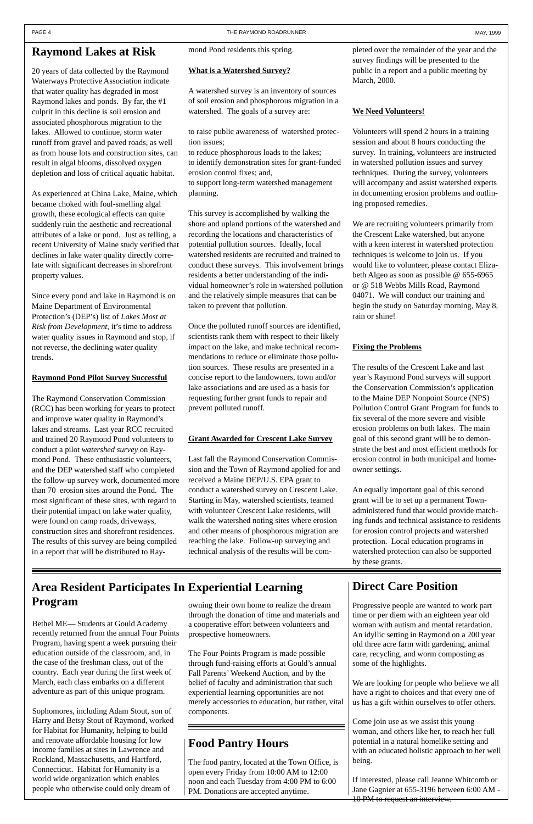## **Raymond Lakes at Risk**

20 years of data collected by the Raymond Waterways Protective Association indicate that water quality has degraded in most Raymond lakes and ponds. By far, the #1 culprit in this decline is soil erosion and associated phosphorous migration to the lakes. Allowed to continue, storm water runoff from gravel and paved roads, as well as from house lots and construction sites, can result in algal blooms, dissolved oxygen depletion and loss of critical aquatic habitat.

As experienced at China Lake, Maine, which became choked with foul-smelling algal growth, these ecological effects can quite suddenly ruin the aesthetic and recreational attributes of a lake or pond. Just as telling, a recent University of Maine study verified that declines in lake water quality directly correlate with significant decreases in shorefront property values.

Since every pond and lake in Raymond is on Maine Department of Environmental Protection's (DEP's) list of *Lakes Most at Risk from Development*, it's time to address water quality issues in Raymond and stop, if not reverse, the declining water quality trends.

#### **Raymond Pond Pilot Survey Successful**

The Raymond Conservation Commission (RCC) has been working for years to protect and improve water quality in Raymond's lakes and streams. Last year RCC recruited and trained 20 Raymond Pond volunteers to conduct a pilot *watershed survey* on Raymond Pond. These enthusiastic volunteers, and the DEP watershed staff who completed the follow-up survey work, documented more than 70 erosion sites around the Pond. The most significant of these sites, with regard to their potential impact on lake water quality, were found on camp roads, driveways, construction sites and shorefront residences. The results of this survey are being compiled in a report that will be distributed to Raymond Pond residents this spring.

#### **What is a Watershed Survey?**

A watershed survey is an inventory of sources of soil erosion and phosphorous migration in a watershed. The goals of a survey are:

to raise public awareness of watershed protection issues;

to reduce phosphorous loads to the lakes; to identify demonstration sites for grant-funded erosion control fixes; and,

to support long-term watershed management planning.

This survey is accomplished by walking the shore and upland portions of the watershed and recording the locations and characteristics of potential pollution sources. Ideally, local watershed residents are recruited and trained to conduct these surveys. This involvement brings residents a better understanding of the individual homeowner's role in watershed pollution and the relatively simple measures that can be taken to prevent that pollution.

Once the polluted runoff sources are identified, scientists rank them with respect to their likely impact on the lake, and make technical recommendations to reduce or eliminate those pollution sources. These results are presented in a concise report to the landowners, town and/or lake associations and are used as a basis for requesting further grant funds to repair and prevent polluted runoff.

> If interested, please call Jeanne Whitcomb or Jane Gagnier at 655-3196 between 6:00 AM - 10 PM to request an interview.

#### **Grant Awarded for Crescent Lake Survey**

Last fall the Raymond Conservation Commission and the Town of Raymond applied for and received a Maine DEP/U.S. EPA grant to conduct a watershed survey on Crescent Lake. Starting in May, watershed scientists, teamed with volunteer Crescent Lake residents, will walk the watershed noting sites where erosion and other means of phosphorous migration are reaching the lake. Follow-up surveying and technical analysis of the results will be completed over the remainder of the year and the survey findings will be presented to the public in a report and a public meeting by March, 2000.

#### **We Need Volunteers!**

Volunteers will spend 2 hours in a training session and about 8 hours conducting the survey. In training, volunteers are instructed in watershed pollution issues and survey techniques. During the survey, volunteers will accompany and assist watershed experts in documenting erosion problems and outlining proposed remedies.

We are recruiting volunteers primarily from the Crescent Lake watershed, but anyone with a keen interest in watershed protection techniques is welcome to join us. If you would like to volunteer, please contact Elizabeth Algeo as soon as possible @ 655-6965 or @ 518 Webbs Mills Road, Raymond 04071. We will conduct our training and begin the study on Saturday morning, May 8, rain or shine!

#### **Fixing the Problems**

The results of the Crescent Lake and last year's Raymond Pond surveys will support the Conservation Commission's application to the Maine DEP Nonpoint Source (NPS) Pollution Control Grant Program for funds to fix several of the more severe and visible erosion problems on both lakes. The main goal of this second grant will be to demonstrate the best and most efficient methods for erosion control in both municipal and homeowner settings.

An equally important goal of this second grant will be to set up a permanent Townadministered fund that would provide matching funds and technical assistance to residents for erosion control projects and watershed protection. Local education programs in watershed protection can also be supported by these grants.

## **Direct Care Position**

Progressive people are wanted to work part time or per diem with an eighteen year old woman with autism and mental retardation. An idyllic setting in Raymond on a 200 year old three acre farm with gardening, animal care, recycling, and worm composting as some of the highlights.

We are looking for people who believe we all have a right to choices and that every one of us has a gift within ourselves to offer others.

Come join use as we assist this young woman, and others like her, to reach her full potential in a natural homelike setting and with an educated holistic approach to her well being.

# **Area Resident Participates In Experiential Learning Program**

Bethel ME— Students at Gould Academy recently returned from the annual Four Points Program, having spent a week pursuing their education outside of the classroom, and, in the case of the freshman class, out of the country. Each year during the first week of March, each class embarks on a different adventure as part of this unique program.

Sophomores, including Adam Stout, son of Harry and Betsy Stout of Raymond, worked for Habitat for Humanity, helping to build and renovate affordable housing for low income families at sites in Lawrence and Rockland, Massachusetts, and Hartford, Connecticut. Habitat for Humanity is a world wide organization which enables people who otherwise could only dream of

owning their own home to realize the dream through the donation of time and materials and a cooperative effort between volunteers and prospective homeowners.

The Four Points Program is made possible through fund-raising efforts at Gould's annual Fall Parents' Weekend Auction, and by the belief of faculty and administration that such experiential learning opportunities are not merely accessories to education, but rather, vital components.

## **Food Pantry Hours**

The food pantry, located at the Town Office, is open every Friday from 10:00 AM to 12:00 noon and each Tuesday from 4:00 PM to 6:00 PM. Donations are accepted anytime.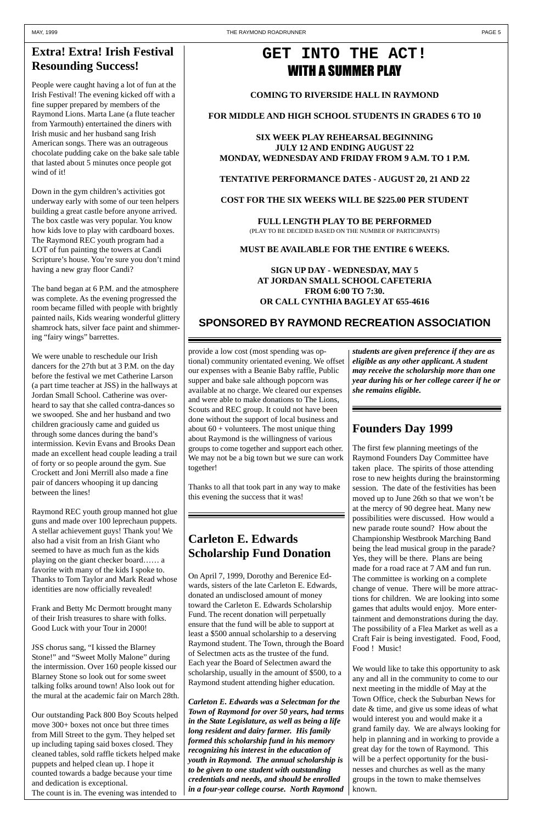## **Founders Day 1999**

The first few planning meetings of the Raymond Founders Day Committee have taken place. The spirits of those attending rose to new heights during the brainstorming session. The date of the festivities has been moved up to June 26th so that we won't be at the mercy of 90 degree heat. Many new possibilities were discussed. How would a new parade route sound? How about the Championship Westbrook Marching Band being the lead musical group in the parade? Yes, they will be there. Plans are being made for a road race at 7 AM and fun run. The committee is working on a complete change of venue. There will be more attractions for children. We are looking into some

# **GET INTO THE ACT!** WITH A SUMMER PLAY

games that adults would enjoy. More entertainment and demonstrations during the day. The possibility of a Flea Market as well as a Craft Fair is being investigated. Food, Food, Food ! Music!

We would like to take this opportunity to ask any and all in the community to come to our next meeting in the middle of May at the Town Office, check the Suburban News for date & time, and give us some ideas of what would interest you and would make it a grand family day. We are always looking for help in planning and in working to provide a great day for the town of Raymond. This will be a perfect opportunity for the businesses and churches as well as the many groups in the town to make themselves known.

**COMING TO RIVERSIDE HALL IN RAYMOND**

**FOR MIDDLE AND HIGH SCHOOL STUDENTS IN GRADES 6 TO 10**

**SIX WEEK PLAY REHEARSAL BEGINNING JULY 12 AND ENDING AUGUST 22 MONDAY, WEDNESDAY AND FRIDAY FROM 9 A.M. TO 1 P.M.**

#### **TENTATIVE PERFORMANCE DATES - AUGUST 20, 21 AND 22**

**COST FOR THE SIX WEEKS WILL BE \$225.00 PER STUDENT**

**FULL LENGTH PLAY TO BE PERFORMED** (PLAY TO BE DECIDED BASED ON THE NUMBER OF PARTICIPANTS)

#### **MUST BE AVAILABLE FOR THE ENTIRE 6 WEEKS.**

### **SIGN UP DAY - WEDNESDAY, MAY 5 AT JORDAN SMALL SCHOOL CAFETERIA FROM 6:00 TO 7:30. OR CALL CYNTHIA BAGLEY AT 655-4616**

## **SPONSORED BY RAYMOND RECREATION ASSOCIATION**

# **Extra! Extra! Irish Festival Resounding Success!**

People were caught having a lot of fun at the Irish Festival! The evening kicked off with a fine supper prepared by members of the Raymond Lions. Marta Lane (a flute teacher from Yarmouth) entertained the diners with Irish music and her husband sang Irish American songs. There was an outrageous chocolate pudding cake on the bake sale table that lasted about 5 minutes once people got wind of it!

Down in the gym children's activities got underway early with some of our teen helpers building a great castle before anyone arrived. The box castle was very popular. You know how kids love to play with cardboard boxes. The Raymond REC youth program had a LOT of fun painting the towers at Candi Scripture's house. You're sure you don't mind having a new gray floor Candi?

The band began at 6 P.M. and the atmosphere was complete. As the evening progressed the room became filled with people with brightly painted nails, Kids wearing wonderful glittery shamrock hats, silver face paint and shimmering "fairy wings" barrettes.

We were unable to reschedule our Irish dancers for the 27th but at 3 P.M. on the day before the festival we met Catherine Larson (a part time teacher at JSS) in the hallways at Jordan Small School. Catherine was overheard to say that she called contra-dances so we swooped. She and her husband and two children graciously came and guided us through some dances during the band's intermission. Kevin Evans and Brooks Dean made an excellent head couple leading a trail of forty or so people around the gym. Sue Crockett and Joni Merrill also made a fine pair of dancers whooping it up dancing between the lines!

Raymond REC youth group manned hot glue guns and made over 100 leprechaun puppets. A stellar achievement guys! Thank you! We also had a visit from an Irish Giant who seemed to have as much fun as the kids playing on the giant checker board…… a favorite with many of the kids I spoke to. Thanks to Tom Taylor and Mark Read whose identities are now officially revealed!

Frank and Betty Mc Dermott brought many of their Irish treasures to share with folks. Good Luck with your Tour in 2000!

JSS chorus sang, "I kissed the Blarney Stone!" and "Sweet Molly Malone" during the intermission. Over 160 people kissed our Blarney Stone so look out for some sweet talking folks around town! Also look out for the mural at the academic fair on March 28th.

Our outstanding Pack 800 Boy Scouts helped move 300+ boxes not once but three times from Mill Street to the gym. They helped set up including taping said boxes closed. They cleaned tables, sold raffle tickets helped make puppets and helped clean up. I hope it counted towards a badge because your time and dedication is exceptional.

The count is in. The evening was intended to

provide a low cost (most spending was optional) community orientated evening. We offset our expenses with a Beanie Baby raffle, Public supper and bake sale although popcorn was available at no charge. We cleared our expenses and were able to make donations to The Lions, Scouts and REC group. It could not have been done without the support of local business and about  $60 +$  volunteers. The most unique thing about Raymond is the willingness of various groups to come together and support each other. We may not be a big town but we sure can work together!

Thanks to all that took part in any way to make this evening the success that it was!

# **Carleton E. Edwards Scholarship Fund Donation**

On April 7, 1999, Dorothy and Berenice Edwards, sisters of the late Carleton E. Edwards, donated an undisclosed amount of money toward the Carleton E. Edwards Scholarship Fund. The recent donation will perpetually ensure that the fund will be able to support at least a \$500 annual scholarship to a deserving Raymond student. The Town, through the Board of Selectmen acts as the trustee of the fund. Each year the Board of Selectmen award the scholarship, usually in the amount of \$500, to a Raymond student attending higher education.

*Carleton E. Edwards was a Selectman for the Town of Raymond for over 50 years, had terms in the State Legislature, as well as being a life long resident and dairy farmer. His family formed this scholarship fund in his memory recognizing his interest in the education of youth in Raymond. The annual scholarship is to be given to one student with outstanding credentials and needs, and should be enrolled in a four-year college course. North Raymond* *students are given preference if they are as eligible as any other applicant. A student may receive the scholarship more than one year during his or her college career if he or she remains eligible.*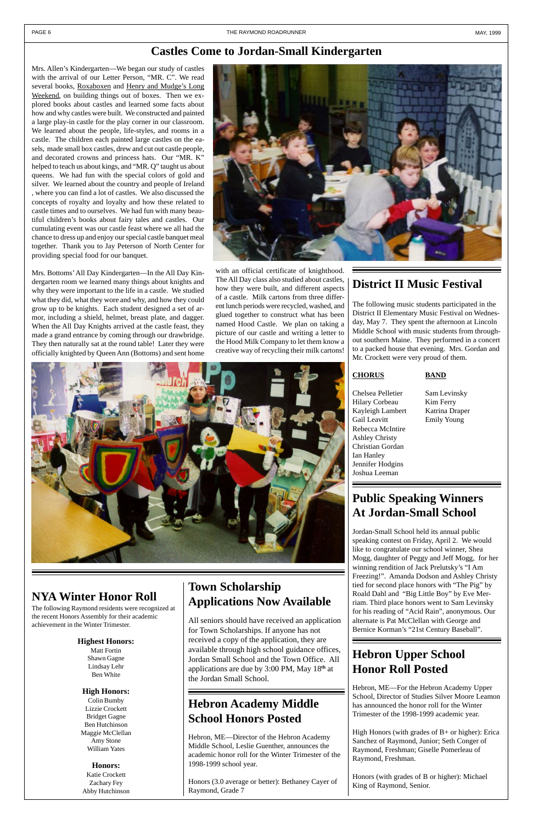## **Castles Come to Jordan-Small Kindergarten**

Mrs. Allen's Kindergarten—We began our study of castles with the arrival of our Letter Person, "MR. C". We read several books, Roxaboxen and Henry and Mudge's Long Weekend, on building things out of boxes. Then we explored books about castles and learned some facts about how and why castles were built. We constructed and painted a large play-in castle for the play corner in our classroom. We learned about the people, life-styles, and rooms in a castle. The children each painted large castles on the easels, made small box castles, drew and cut out castle people, and decorated crowns and princess hats. Our "MR. K" helped to teach us about kings, and "MR. Q" taught us about queens. We had fun with the special colors of gold and silver. We learned about the country and people of Ireland , where you can find a lot of castles. We also discussed the concepts of royalty and loyalty and how these related to castle times and to ourselves. We had fun with many beautiful children's books about fairy tales and castles. Our cumulating event was our castle feast where we all had the chance to dress up and enjoy our special castle banquet meal together. Thank you to Jay Peterson of North Center for providing special food for our banquet.

Mrs. Bottoms' All Day Kindergarten—In the All Day Kindergarten room we learned many things about knights and why they were important to the life in a castle. We studied what they did, what they wore and why, and how they could grow up to be knights. Each student designed a set of armor, including a shield, helmet, breast plate, and dagger. When the All Day Knights arrived at the castle feast, they made a grand entrance by coming through our drawbridge. They then naturally sat at the round table! Later they were officially knighted by Queen Ann (Bottoms) and sent home



## **District II Music Festival**

The following music students participated in the District II Elementary Music Festival on Wednesday, May 7. They spent the afternoon at Lincoln Middle School with music students from throughout southern Maine. They performed in a concert to a packed house that evening. Mrs. Gordan and Mr. Crockett were very proud of them.

#### **CHORUS BAND**

Chelsea Pelletier Sam Levinsky Hilary Corbeau Kim Ferry Kayleigh Lambert Katrina Draper Gail Leavitt Emily Young Rebecca McIntire Ashley Christy Christian Gordan Ian Hanley Jennifer Hodgins Joshua Leeman

# **Public Speaking Winners At Jordan-Small School**

Jordan-Small School held its annual public speaking contest on Friday, April 2. We would like to congratulate our school winner, Shea Mogg, daughter of Peggy and Jeff Mogg, for her winning rendition of Jack Prelutsky's "I Am Freezing!". Amanda Dodson and Ashley Christy tied for second place honors with "The Pig" by Roald Dahl and "Big Little Boy" by Eve Merriam. Third place honors went to Sam Levinsky for his reading of "Acid Rain", anonymous. Our alternate is Pat McClellan with George and Bernice Korman's "21st Century Baseball".

# **Hebron Academy Middle School Honors Posted**

Hebron, ME—Director of the Hebron Academy Middle School, Leslie Guenther, announces the academic honor roll for the Winter Trimester of the 1998-1999 school year.

Honors (3.0 average or better): Bethaney Cayer of Raymond, Grade 7

# **Hebron Upper School Honor Roll Posted**

Hebron, ME—For the Hebron Academy Upper School, Director of Studies Silver Moore Leamon has announced the honor roll for the Winter Trimester of the 1998-1999 academic year.

High Honors (with grades of B+ or higher): Erica Sanchez of Raymond, Junior; Seth Conger of Raymond, Freshman; Giselle Pomerleau of Raymond, Freshman.

Honors (with grades of B or higher): Michael King of Raymond, Senior.

## **NYA Winter Honor Roll**

The following Raymond residents were recognized at the recent Honors Assembly for their academic achievement in the Winter Trimester.

#### **Highest Honors:**

Matt Fortin Shawn Gagne Lindsay Lehr Ben White

#### **High Honors:**

Colin Bumby Lizzie Crockett Bridget Gagne Ben Hutchinson Maggie McClellan Amy Stone William Yates

#### **Honors:** Katie Crockett Zachary Fey Abby Hutchinson

with an official certificate of knighthood. The All Day class also studied about castles, how they were built, and different aspects of a castle. Milk cartons from three different lunch periods were recycled, washed, and glued together to construct what has been named Hood Castle. We plan on taking a picture of our castle and writing a letter to the Hood Milk Company to let them know a creative way of recycling their milk cartons!

**Town Scholarship Applications Now Available**

All seniors should have received an application for Town Scholarships. If anyone has not received a copy of the application, they are available through high school guidance offices, Jordan Small School and the Town Office. All applications are due by 3:00 PM, May 18**th** at the Jordan Small School.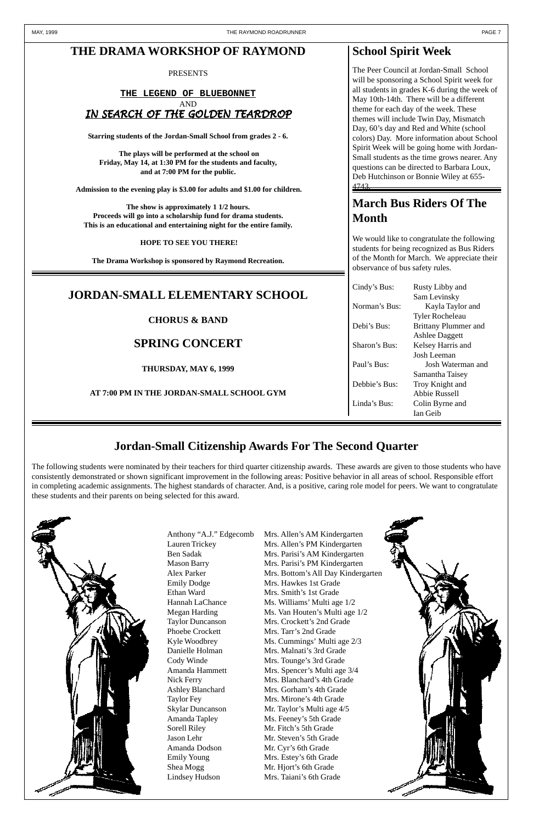## **Jordan-Small Citizenship Awards For The Second Quarter**

The following students were nominated by their teachers for third quarter citizenship awards. These awards are given to those students who have consistently demonstrated or shown significant improvement in the following areas: Positive behavior in all areas of school. Responsible effort in completing academic assignments. The highest standards of character. And, is a positive, caring role model for peers. We want to congratulate these students and their parents on being selected for this award.



Anthony "A.J." Edgecomb Mrs. Allen's AM Kindergarten Emily Dodge Mrs. Hawkes 1st Grade Ethan Ward Mrs. Smith's 1st Grade

Lauren Trickey Mrs. Allen's PM Kindergarten Ben Sadak Mrs. Parisi's AM Kindergarten Mason Barry Mrs. Parisi's PM Kindergarten Alex Parker Mrs. Bottom's All Day Kindergarten Hannah LaChance Ms. Williams' Multi age 1/2 Megan Harding Ms. Van Houten's Multi age 1/2 Taylor Duncanson Mrs. Crockett's 2nd Grade Phoebe Crockett Mrs. Tarr's 2nd Grade Kyle Woodbrey Ms. Cummings' Multi age  $2/3$ Danielle Holman Mrs. Malnati's 3rd Grade Cody Winde Mrs. Tounge's 3rd Grade Amanda Hammett Mrs. Spencer's Multi age 3/4 Nick Ferry Mrs. Blanchard's 4th Grade Ashley Blanchard Mrs. Gorham's 4th Grade Taylor Fey Mrs. Mirone's 4th Grade Skylar Duncanson Mr. Taylor's Multi age 4/5 Amanda Tapley Ms. Feeney's 5th Grade Sorell Riley Mr. Fitch's 5th Grade Jason Lehr Mr. Steven's 5th Grade Emily Young Mrs. Estey's 6th Grade Shea Mogg Mr. Hjort's 6th Grade



Amanda Dodson Mr. Cyr's 6th Grade Lindsey Hudson Mrs. Taiani's 6th Grade

# **March Bus Riders Of The Month**

We would like to congratulate the following students for being recognized as Bus Riders of the Month for March. We appreciate their observance of bus safety rules.

| Cindy's Bus:  | Rusty Libby and             |
|---------------|-----------------------------|
|               | Sam Levinsky                |
| Norman's Bus: | Kayla Taylor and            |
|               | <b>Tyler Rocheleau</b>      |
| Debi's Bus:   | <b>Brittany Plummer and</b> |
|               | <b>Ashlee Daggett</b>       |
| Sharon's Bus: | Kelsey Harris and           |
|               | Josh Leeman                 |
| Paul's Bus:   | Josh Waterman and           |
|               | Samantha Taisey             |
| Debbie's Bus: | Troy Knight and             |
|               | Abbie Russell               |
| Linda's Bus:  | Colin Byrne and             |
|               | Ian Geib                    |

PRESENTS

#### **THE LEGEND OF BLUEBONNET** AND IN SEARCH OF THE GOLDEN TEARDROP

**Starring students of the Jordan-Small School from grades 2 - 6.**

 **The plays will be performed at the school on Friday, May 14, at 1:30 PM for the students and faculty, and at 7:00 PM for the public.**

 **Admission to the evening play is \$3.00 for adults and \$1.00 for children.**

**The show is approximately 1 1/2 hours. Proceeds will go into a scholarship fund for drama students. This is an educational and entertaining night for the entire family.**

#### **HOPE TO SEE YOU THERE!**

**The Drama Workshop is sponsored by Raymond Recreation.**

## **School Spirit Week**

The Peer Council at Jordan-Small School will be sponsoring a School Spirit week for all students in grades K-6 during the week of May 10th-14th. There will be a different theme for each day of the week. These themes will include Twin Day, Mismatch Day, 60's day and Red and White (school colors) Day. More information about School Spirit Week will be going home with Jordan-Small students as the time grows nearer. Any questions can be directed to Barbara Loux, Deb Hutchinson or Bonnie Wiley at 655- 4743.

## **JORDAN-SMALL ELEMENTARY SCHOOL**

**CHORUS & BAND**

## **SPRING CONCERT**

**THURSDAY, MAY 6, 1999**

**AT 7:00 PM IN THE JORDAN-SMALL SCHOOL GYM**